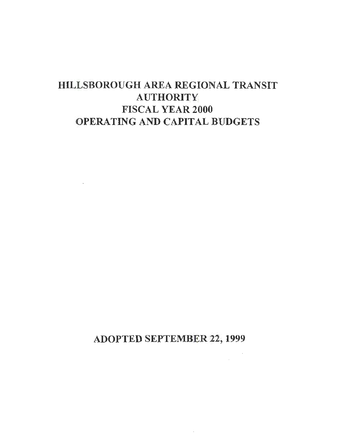# HILLSBOROUGH AREA REGIONAL TRANSIT **AUTHORITY** FISCAL YEAR 2000 OPERATING AND CAPITAL BUDGETS

 $\sim 10^{-11}$ 

ADOPTED SEPTEMBER 22, 1999

 $\cdot$ 

 $\sim$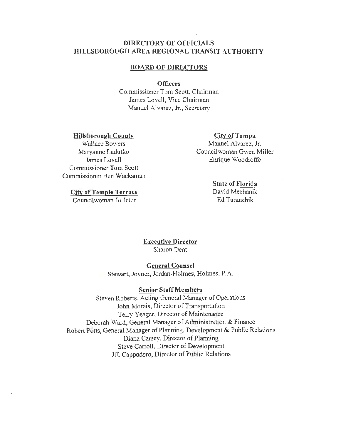#### DIRECTORY OF OFFICIALS HILLSBOROUGH AREA REGIONAL TRANSIT AUTHORITY

#### BOARD OF DIRECTORS

#### **Officers**

Commissioner Tom Scott, Chairman James Lovell, Vice Chairman Manuel Alvarez, Jr., Secretary

Hillsborough County

Wallace Bowers Maryanne Ladutko James Lovell Commissioner Tom Scott Commissioner Ben Wacksman

City of Temple Terrace

Councilwoman Jo Jeter

#### City of Tampa

Manuel Alvarez, Jr. Councilwoman Gwen Miller Enrique Woodroffe

#### State of Florida

David Mechanik Ed Turanchik

Executive Director Sharon Dent

#### General Counsel

Stewart, Joyner, Jordan-Holmes, Holmes, P.A.

#### Senior Staff Members

Steven Roberts, Acting General Manager of Operations John Morais, Director of Transportation Terry Yeager, Director of Maintenance Deborah Ward, General Manager of Administration & Finance Robert Potts, General Manager of Planning, Development & Public Relations Diana Carsey, Director of Planning Steve Carroll, Director of Development Jill Cappodoro, Director of Public Relations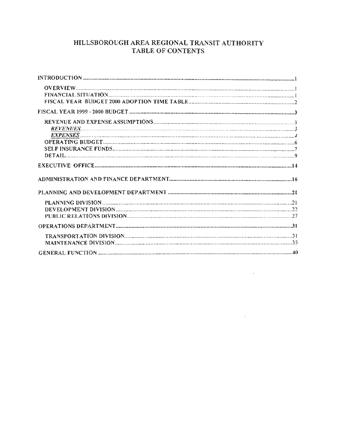## HILLSBOROUGH AREA REGIONAL TRANSIT AUTHORITY TABLE OF CONTENTS

**Contractor** 

 $\mathcal{L}^{\text{max}}_{\text{max}}$  and  $\mathcal{L}^{\text{max}}_{\text{max}}$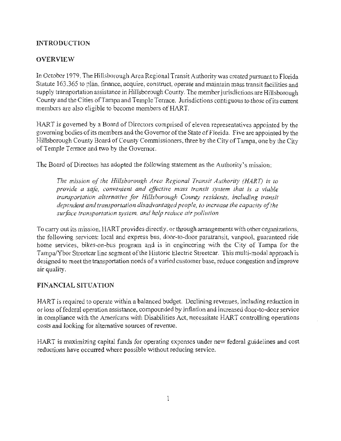## **INTRODUCTION**

## **OVERVIEW**

In October 1979, The Hillsborough Area Regional Transit Authority was created pursuant to Florida Statute 163 .365 to plan, finance, acquire, construct, operate and maintain mass transit facilities and supply transportation assistance in Hillsborough County. The member jurisdictions are Hillsborough County and the Cities of Tampa and Temple Terrace. Jurisdictions contiguous to those of its current members are also eligible to become members of HART.

HART is governed by a Board of Directors comprised of eleven representatives appointed by the governing bodies ofits members and the Governor of the State of Florida. Five are appointed by the Hillsborough County Board of County Commissioners, three by the City of Tampa, one by the City of Temple Terrace and two by the Governor.

The Board of Directors has adopted the following statement as the Authority's mission:

*The mission of the Hillsborough Area Regional Transit Authority (HART) is to provide a safe, convenient and effective mass transit .system that is a viable transportation alternative for Hillsborough County residents, including transit dependent and transportation disadvantaged people, to increase the capacity of the surface tramportation system, and help reduce air pollution.* 

To carry out its mission, HART provides directly, or through arrangements with other organizations, the following services: local and express bus, door-to-door paratransit, vanpool, guaranteed ride home services, bikes-on-bus program and is in engineering with the City of Tampa for the Tampa/Ybor Streetcar line segment of the Historic Electric Streetcar. This multi-modal approach is designed to meet the transportation needs of a varied customer base, reduce congestion and improve air quality.

## **FINANCIAL SITUATION**

HART is required to operate within a balanced budget. Declining revenues, including reduction in or loss of federal operation assistance, compounded by inflation and increased door-to-door service in compliance with the Americans with Disabilities Act, necessitate HART controlling operations costs and looking for alternative sources of revenue.

HART is maximizing capital funds for operating expenses under new federal guidelines and cost reductions have occurred where possible without reducing service.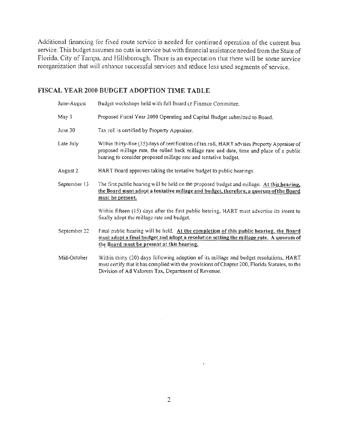Additional financing for fixed route service is needed for continued operation of the current bus service. This budget assumes no cuts in service but with financial assistance needed from the State of Florida, City of Tampa, and Hillsborough. There is an expectation that there will be some service reorganization that will enhance successful services and reduce less used segments of service.

#### FISCAL YEAR 2000 BUDGET ADOPTION TIME TABLE

June-August Budget workshops held with full Board or Finance Committee. May 3 Proposed Fiscal Year 2000 Operating and Capital Budget submitted to Board. June 30 Tax roll is certified by Property Appraiser. Late July Within thirty-five (35) days of certification of tax roll, HART advises Property Appraiser of proposed millage rate, the rolled back millage rate and date, time and place of a public hearing to consider proposed millage rate and tentative budget. August 2 HART Board approves taking the tentative budget to public hearings. September 13 The first public hearing will be held on the proposed budget and millage. At this hearing, the Board must adopt a tentative millage and budget, therefore, a quorum of the Board must be present. Within fifteen (15) days after the first public hearing, HART must advertise its intent to finally adopt the millage rate and budget. September 22 Final public hearing will be held. At the completion of this public hearing, the Board must adopt a final budget and adopt a resolution setting the millage rate. A quorum of the Board must be present at this hearing. Mid-October Within thirty (30) days following adoption of its millage and budget resolutions, HART must certify that it has complied with the provisions of Chapter 200, Florida Statutes, to the Division of Ad Valorem Tax, Department of Revenue.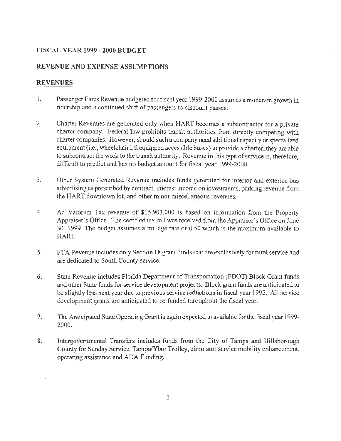## FISCAL YEAR 1999-2000 BUDGET

#### REVENUE AND EXPENSE ASSUMPTIONS

#### REVENUES

- 1. Passenger Fares Revenue budgeted for fiscal year 1999-2000 assumes a moderate growth in ridership and a continued shift of passengers to discount passes.
- 2. Charter Revenues are generated only when HART becomes a subcontractor for a private charter company. Federal law prohibits transit authorities from directly competing with charter companies. However, should such a company need additional capacity or specialized equipment (i.e., wheelchair lift equipped accessible buses) to provide a charter, they are able to subcontract the work to the transit authority. Revenue in this type of service is, therefore, difficult to predict and has no budget amount for fiscal year 1999-2000.
- 3. Other System Generated Revenue includes funds generated for interior and exterior bus advertising as prescribed by contract, interest income on investments, parking revenue from the HART downtown lot, and other minor miscellaneous revenues.
- 4. Ad Valorem Tax revenue of \$15,903,000 is based on information from the Property Appraiser's Office. The certified tax roll was received from the Appraiser's Office on June 30, 1999. The budget assumes a millage rate of 0.50,which is the maximum available to HART.
- 5. FT A Revenue includes only Section 18 grant funds that are exclusively for rural service and are dedicated to South County service.
- 6. State Revenue includes Florida Department of Transportation (FOOT) Block Grant funds and other State funds for service development projects. Block grant funds are anticipated to be slightly less next year due to previous service reductions in fiscal year 1995. All service development grants are anticipated to be funded throughout the fiscal year.
- 7. The Anticipated State Operating Grant is again expected to available for the fiscal year 1999- 2000.
- 8. Intergovernmental Transfers includes funds from the City of Tampa and Hillsborough County for Sunday Service, Tampa/Ybor Trolley, circulator service mobility enhancement, operating assistance and ADA Funding.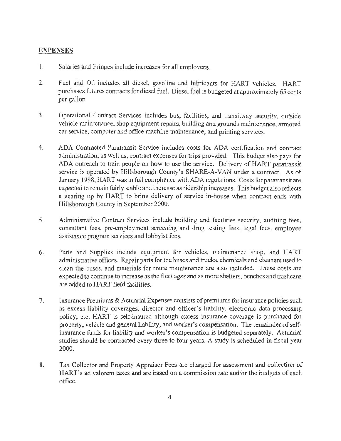#### **EXPENSES**

- I. Salaries and Fringes include increases for all employees.
- 2. Fuel and Oil includes all diesel, gasoline and lubricants for HART vehicles. HART purchases futures contracts for diesel fuel. Diesel fuel is budgeted at approximately 65 cents per gallon
- 3. Operational Contract Services includes bus, facilities, and transitway security, outside vehicle maintenance, shop equipment repairs, building and grounds maintenance, armored car service, computer and office machine maintenance, and printing services.
- 4. ADA Contracted Paratransit Service includes costs for ADA certification and contract administration, as well as, contract expenses for trips provided. This budget also pays for ADA outreach to train people on how to use the service. Delivery of HART paratransit service is operated by Hillsborough County's SHARE-A-VAN under a contract. As of January 1998, HART was in full compliance with ADA regulations. Costs for paratransit are expected to remain fairly stable and increase as ridership increases. This budget also reflects a gearing up by HART to bring delivery of service in-house when contract ends with Hillsborough County in September 2000.
- 5. Administrative Contract Services include building and facilities security, auditing fees, consultant fees, pre-employment screening and drug testing fees, legal fees, employee assistance program services and lobbyist fees.
- 6. Parts and Supplies include equipment for vehicles, maintenance shop, and HART administrative offices. Repair parts for the buses and trucks, chemicals and cleaners used to clean the buses, and materials for route maintenance are also included. These costs are expected to continue to increase as the fleet ages and as more shelters, benches and trashcans are added to HART field facilities.
- 7. Insurance Premiums & Actuarial Expenses consists of premiums for insurance policies such as excess liability coverages, director and officer's liability, electronic data processing policy, etc. HART is self-insured although excess insurance coverage is purchased for property, vehicle and general liability, and worker's compensation. The remainder of selfinsurance funds for liability and worker's compensation is budgeted separately. Actuarial studies should be contracted every three to four years. A study is scheduled in fiscal year 2000.
- 8. Tax Collector and Property Appraiser Fees are charged for assessment and collection of HART's ad valorem taxes and are based on a commission rate and/or the budgets of each office.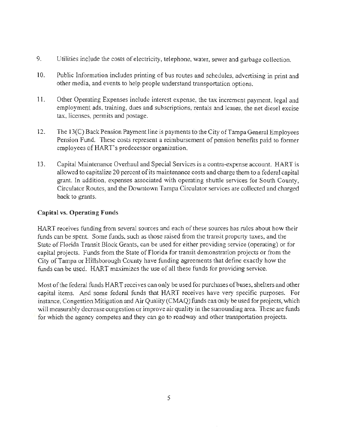- 9. Utilities include the costs of electricity, telephone, water, sewer and garbage collection.
- 10. Public Information includes printing of bus routes and schedules, advertising in print and other media, and events to help people understand transportation options.
- 11 . Other Operating Expenses include interest expense, the tax increment payment, legal and employment ads, training, dues and subscriptions, rentals and leases, the net diesel excise tax, licenses, permits and postage.
- 12. The 13(C) Back Pension Payment line is payments to the City of Tampa General Employees Pension Fund. These costs represent a reimbursement of pension benefits paid to former employees of HAR T's predecessor organization.
- 13. Capital Maintenance Overhaul and Special Services is a contra-expense account. HART is allowed to capitalize 20 percent of its maintenance costs and charge them to a federal capital grant. In addition, expenses associated with operating shuttle services for South County, Circulator Routes, and the Downtown Tampa Circulator services are collected and charged back to grants.

#### **Capital** vs. **Operating Funds**

HART receives funding from several sources and each of these sources has rules about how their funds can be spent. Some funds, such as those raised from the transit property taxes, and the State of Florida Transit Block Grants, can be used for either providing service (operating) or for capital projects. Funds from the State of Florida for transit demonstration projects or from the City of Tampa or Hillsborough County have funding agreements that define exactly how the funds can be used. HART maximizes the use of all these funds for providing service.

Most of the federal funds HART receives can only be used for purchases of buses, shelters and other capital items. And some federal funds that HART receives have very specific purposes. For instance, Congestion Mitigation and Air Quality (CMAQ) funds can only be used for projects, which will measurably decrease congestion or improve air quality in the surrounding area. These are funds for which the agency competes and they can go to roadway and other transportation projects.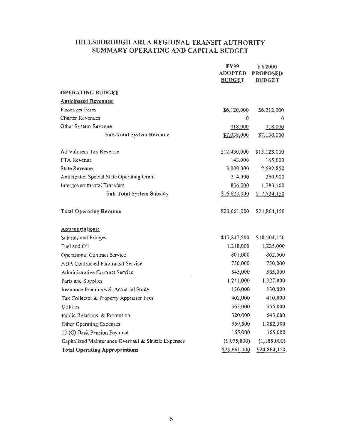### HILLSBOROUGH AREA REGIONAL TRANSIT AUTHORITY SUMMARY OPERATING AND CAPITAL BUDGET

|                                                     | FY99<br><b>ADOPTED</b><br><b>BUDGET</b> | <b>FY2000</b><br><b>PROPOSED</b><br><b>BUDGET</b> |
|-----------------------------------------------------|-----------------------------------------|---------------------------------------------------|
| <b>OPERATING BUDGET</b>                             |                                         |                                                   |
| <b>Anticipated Revenues:</b>                        |                                         |                                                   |
| Passenger Fares                                     | \$6,120,000                             | \$6,212,000                                       |
| Charter Revenues                                    | 0                                       | 0                                                 |
| Other System Revenue                                | 918,000                                 | 918,000                                           |
| Sub-Total System Revenue                            | \$7,038,000                             | \$7,130,000                                       |
| Ad Valorem Tax Revenue                              | \$12,430,000                            | \$13,123,000                                      |
| FTA Revenue                                         | 143,000                                 | 165,000                                           |
| State Revenue                                       | 3,000,000                               | 2,692,850                                         |
| Anticipated Special State Operating Grant           | 214,000                                 | 369,900                                           |
| Intergovernmental Transfers                         | 836,000                                 | 1,383,400                                         |
| Sub-Total System Subsidy                            | \$16,623,000                            | \$17,734,150                                      |
| <b>Total Operating Revenue</b>                      | \$23,661,000                            | \$24,864,150                                      |
| Appropriations:                                     |                                         |                                                   |
| Salaries and Fringes                                | \$17,847,500                            | \$18,504,150                                      |
| Fuel and Oil                                        | 1,210,000                               | 1,225,000                                         |
| Operational Contract Service                        | 801,000                                 | 862,500                                           |
| <b>ADA Contracted Paratransit Service</b>           | 750,000                                 | 750,000                                           |
| Administrative Contract Service                     | 545,000                                 | 585,000                                           |
| Parts and Supplies                                  | 1,241,000                               | 1,327,000                                         |
| Insurance Premiums & Actuarial Study                | 130,000                                 | 130,000                                           |
| Tax Collector & Property Appraiser Fees             | 402,000                                 | 410,000                                           |
| Utilities                                           | 365,000                                 | 365,000                                           |
| Public Relations & Promotion                        | 320,000                                 | 643,000                                           |
| Other Operating Expenses                            | 959,500                                 | 1,082,500                                         |
| 13 (C) Back Pension Payment                         | 165,000                                 | 165,000                                           |
| Capitalized Maintenance Overhaul & Shuttle Expenses | (1,075,000)                             | (1,185,000)                                       |
| <b>Total Operating Appropriations</b>               | \$23,661,000                            | \$24,864,150                                      |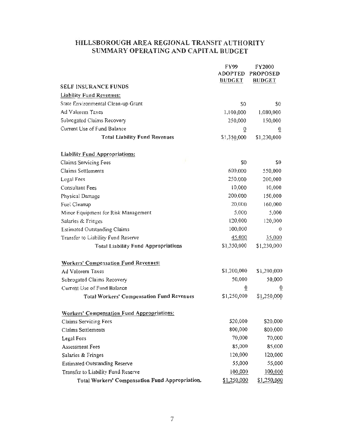## HILLSBOROUGH AREA REGIONAL TRANSIT AUTHORITY SUMMARY OPERATING AND CAPITAL BUDGET

|                                                   | <b>FY99</b>                     | FY2000                           |
|---------------------------------------------------|---------------------------------|----------------------------------|
|                                                   | <b>ADOPTED</b><br><b>BUDGET</b> | <b>PROPOSED</b><br><b>BUDGET</b> |
| <b>SELF INSURANCE FUNDS</b>                       |                                 |                                  |
| <b>Liability Fund Revenues:</b>                   |                                 |                                  |
| State Environmental Clean-up Grant                | S <sub>0</sub>                  | \$0                              |
| Ad Valorem Taxes                                  | 1,100,000                       | 1,080,000                        |
| Subrogated Claims Recovery                        | 250,000                         | 150,000                          |
| Current Use of Fund Balance                       | $\overline{0}$                  | õ                                |
| <b>Total Liability Fund Revenues</b>              | \$1,350,000                     | \$1,230,000                      |
| <b>Liability Fund Appropriations:</b>             |                                 |                                  |
| Claims Servicing Fees                             | \$0                             | \$0                              |
| Claims Settlements                                | 600,000                         | 550,000                          |
| <b>Legal Fees</b>                                 | 250,000                         | 200,000                          |
| Consultant Fees                                   | 10,000                          | 10,000                           |
| Physical Damage                                   | 200,000                         | 150,000                          |
| Fuel Cleanup                                      | 20,000                          | 160,000                          |
| Minor Equipment for Risk Management               | 5,000                           | 5,000                            |
| Salaries & Fringes                                | 120,000                         | 120,000                          |
| <b>Estimated Outstanding Claims</b>               | 100,000                         | 0                                |
| Transfer to Liability Fund Reserve                | 45,000                          | 35,000                           |
| <b>Total Liability Fund Appropriations</b>        | \$1,350,000                     | \$1,230,000                      |
| <b>Workers' Compensation Fund Revenues:</b>       |                                 |                                  |
| Ad Valorem Taxes                                  | \$1,200,000                     | \$1,200,000                      |
| Subrogated Claims Recovery                        | 50,000                          | 50,000                           |
| Current Use of Fund Balance                       | $\overline{0}$                  | $\overline{0}$                   |
| <b>Total Workers' Compensation Fund Revenues</b>  | \$1,250,000                     | \$1,250,000                      |
| <b>Workers' Compensation Fund Appropriations:</b> |                                 |                                  |
| Claims Servicing Fees                             | \$20,000                        | \$20,000                         |
| Claims Settlements                                | 800,000                         | 800,000                          |
| <b>Legal Fees</b>                                 | 70,000                          | 70,000                           |
| <b>Assessment Fees</b>                            | 85,000                          | 85,000                           |
| Salaries & Fringes                                | 120,000                         | 120,000                          |
| <b>Estimated Outstanding Reserve</b>              | 55,000                          | 55,000                           |
| Transfer to Liability Fund Reserve                | 100,000                         | 100,000                          |
| Total Workers' Compensation Fund Appropriation.   | \$1,250,000                     | \$1,250,000                      |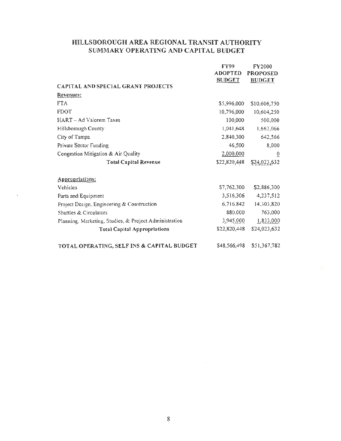### HILLSBOROUGH AREA REGIONAL TRANSIT AUTHORITY SUMMARY OPERATING AND CAPITAL BUDGET

|                                                        | <b>FY99</b>    | FY2000          |
|--------------------------------------------------------|----------------|-----------------|
|                                                        | <b>ADOPTED</b> | <b>PROPOSED</b> |
|                                                        | <b>BUDGET</b>  | <b>BUDGET</b>   |
| <b>CAPITAL AND SPECIAL GRANT PROJECTS</b>              |                |                 |
| Revenues:                                              |                |                 |
| <b>FTA</b>                                             | \$5,996,000    | \$10,606,750    |
| <b>FDOT</b>                                            | 10,796,000     | 10,604,250      |
| HART - Ad Valorem Taxes                                | 100,000        | 500,000         |
| Hillsborough County                                    | 1,041,648      | 1,662,066       |
| City of Tampa                                          | 2,840,300      | 642,566         |
| Private Sector Funding                                 | 46,500         | 8,000           |
| Congestion Mitigation & Air Quality                    | 2,000,000      | $\overline{0}$  |
| <b>Total Capital Revenue</b>                           | \$22,820,448   | \$24,023,632    |
|                                                        |                |                 |
| <b>Appropriations:</b>                                 |                |                 |
| Vehicles                                               | \$7,762,300    | \$2,886,300     |
| Parts and Equipment                                    | 3,516,306      | 4,237,512       |
| Project Design, Engineering & Construction             | 6,716,842      | 14,303,820      |
| Shuttles & Circulators                                 | 880,000        | 763,000         |
| Planning, Marketing, Studies, & Project Administration | 3,945,000      | 1,833,000       |
| <b>Total Capital Appropriations</b>                    | \$22,820,448   | \$24,023,632    |
| TOTAL OPERATING, SELF INS & CAPITAL BUDGET             | \$48,566,498   | \$51,367,782    |

 $\mathcal{L}$ 

8

 $\mathcal{L}^{\text{max}}_{\text{max}}$  and  $\mathcal{L}^{\text{max}}_{\text{max}}$ 

 $\mathcal{L}_{\text{max}}$  ,  $\mathcal{L}_{\text{max}}$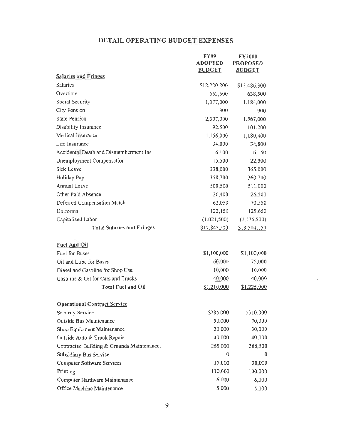## DETAIL OPERATING BUDGET EXPENSES

|                                            | FY99           | <b>FY2000</b>   |
|--------------------------------------------|----------------|-----------------|
|                                            | <b>ADOPTED</b> | <b>PROPOSED</b> |
| <b>Salaries and Fringes</b>                | <b>BUDGET</b>  | <b>BUDGET</b>   |
| <b>Salaries</b>                            | \$12,220,200   | \$13,486,300    |
| Overtime                                   | 552,500        | 638,500         |
| Social Security                            | 1,077,000      | 1,184,000       |
| City Pension                               | 900            | 900             |
| <b>State Pension</b>                       | 2,307,000      | 1,567,000       |
| Disability Insurance                       | 92,500         | 101,200         |
| Medical Insurance                          | 1,156,000      | 1,180,400       |
| Life Insurance                             | 34,000         | 34,800          |
| Accidental Death and Dismemberment Ins.    | 6,100          | 6,150           |
| Unemployment Compensation                  | 15,500         | 22,500          |
| Sick Leave                                 | 338,000        | 365,000         |
| Holiday Pay                                | 358,200        | 360,200         |
| Annual Leave                               | 500,500        | 511,000         |
| Other Paid Absence                         | 26,400         | 26,500          |
| Deferred Compensation Match                | 62,050         | 70,550          |
| Uniforms                                   | 122,150        | 125,650         |
| Capitalized Labor                          | (1.021, 500)   | (1, 176, 500)   |
| <b>Total Salaries and Fringes</b>          | \$17,847.500   | S18,504,150     |
|                                            |                |                 |
| Fuel And Oil                               |                |                 |
| Fuel for Buses                             | \$1,100,000    | \$1,100,000     |
| Oil and Lube for Buses                     | 60,000         | 75,000          |
| Diesel and Gasoline for Shop Use           | 0,000          | 10,000          |
| Gasoline & Oil for Cars and Trucks         | 40,000         | 40,000          |
| <b>Total Fuel and Oil</b>                  | \$1,210,000    | \$1,225,000     |
|                                            |                |                 |
| <b>Operational Contract Service</b>        |                |                 |
| Security Service                           | \$285,000      | \$310,000       |
| Outside Bus Maintenance                    | 50,000         | 70,000          |
| Shop Equipment Maintenance                 | 20,000         | 30,000          |
| Outside Auto & Truck Repair                | 40,000         | 40,000          |
| Contracted Building & Grounds Maintenance. | 265,000        | 266,500         |
| Subsidiary Bus Service                     | 0              | 0               |
| Computer Software Services                 | 15,000         | 30,000          |
| Printing                                   | 110,000        | 100,000         |
| Computer Hardware Maintenance              | 6,000          | 6,000           |
| Office Machine Maintenance                 | 5,000          | 5,000           |

 $\cdot$ 

÷,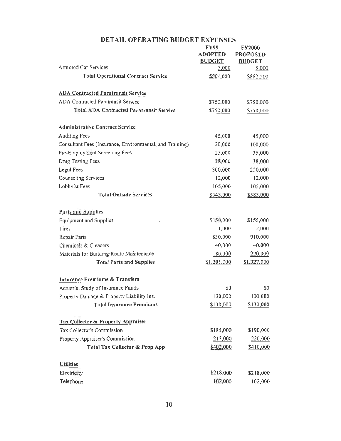| FY99<br><b>ADOPTED</b> | FY2000<br><b>PROPOSED</b><br><b>BUDGET</b> |
|------------------------|--------------------------------------------|
| 5,000                  | 5,000                                      |
| \$801,000              | \$862,500                                  |
|                        |                                            |
| \$750,000              | \$750,000                                  |
| \$750,000              | \$750,000                                  |
|                        |                                            |
| 45,000                 | 45,000                                     |
| 20,000                 | 100,000                                    |
| 25,000                 | 35,000                                     |
| 38,000                 | 38,000                                     |
| 300,000                | 250,000                                    |
| 12,000                 | 12,000                                     |
| 105,000                | 105,000                                    |
| \$545,000              | \$585,000                                  |
|                        |                                            |
| \$150,000              | \$155,000                                  |
| 1,000                  | 2,000                                      |
| 830,000                | 910,000                                    |
| 40,000                 | 40,000                                     |
| 180,000                | 220,000                                    |
| \$1,201,000            | \$1,327,000                                |
|                        |                                            |
| \$0                    | \$0                                        |
| 130,000                | 130,000                                    |
| \$130,000              | \$130,000                                  |
|                        |                                            |
| \$185,000              | \$190,000                                  |
| 217,000                | 220,000                                    |
| \$402,000              | \$410,000                                  |
|                        |                                            |
| \$218,000              | \$218,000                                  |
|                        | 102,000                                    |
|                        | <b>BUDGET</b><br>02,000                    |

# DETAIL OPERA TING BUDGET EXPENSES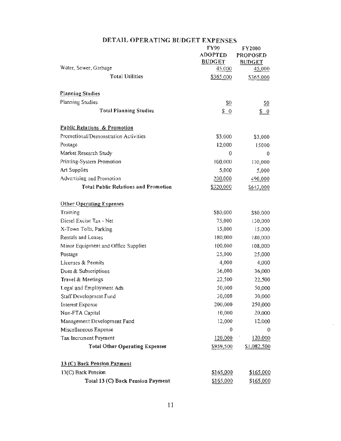|                                             | <b>FY99</b>             | FY2000           |
|---------------------------------------------|-------------------------|------------------|
|                                             | <b>ADOPTED</b>          | <b>PROPOSED</b>  |
| Water, Sewer, Garbage                       | <b>BUDGET</b><br>45,000 | <b>BUDGET</b>    |
| <b>Total Utilities</b>                      |                         | 45,000           |
|                                             | \$365,000               | \$365,000        |
| <b>Planning Studies</b>                     |                         |                  |
| Planning Studies                            | \$0                     | $\underline{50}$ |
| <b>Total Planning Studies</b>               | \$0                     | $\sqrt{5}$ 0     |
| <b>Public Relations &amp; Promotion</b>     |                         |                  |
| Promotional/Demonstration Activities        | \$3,000                 | \$3,000          |
| Postage                                     | 12,000                  | 15000            |
| Market Research Study                       | 0                       | 0                |
| Printing-System Promotion                   | 100,000                 | 130,000          |
| Art Supplies                                | 5,000                   | 5,000            |
| Advertising and Promotion                   | 200,000                 | 490,000          |
| <b>Total Public Relations and Promotion</b> | \$320,000               | \$643,000        |
| <b>Other Operating Expenses</b>             |                         |                  |
| Training                                    | \$80,000                | \$80,000         |
| Diesel Excise Tax - Net                     | 75,000                  | 130,000          |
| X-Town Tolls, Parking                       | 15,000                  | 15,000           |
| Rentals and Leases                          | 180,000                 | 180,000          |
| Minor Equipment and Office Supplies         | 100,000                 | 108,000          |
| Postage                                     | 25,000                  | 25,000           |
| Licenses & Permits                          | 4,000                   | 4,000            |
| Dues & Subscriptions                        | 36,000                  | 36,000           |
| Travel & Meetings                           | 22,500                  | 22,500           |
| Legal and Employment Ads                    | 50,000                  | 50,000           |
| Staff Development Fund                      | 30,000                  | 30,000           |
| Interest Expense                            | 200,000                 | 250,000          |
| Non-FTA Capital                             | 10,000                  | 20,000           |
| Management Development Fund                 | 12,000                  | 12,000           |
| Miscellaneous Expense                       | $\theta$                | 0                |
| Tax Increment Payment                       | 120,000                 | 120,000          |
| <b>Total Other Operating Expenses</b>       | \$959,500               | \$1,082,500      |
| 13 (C) Back Pension Payment                 |                         |                  |
| 13(C) Back Pension                          | \$165,000               | \$165,000        |
| Total 13 (C) Back Pension Payment           | \$165,000               | \$165,000        |

#### DETAIL OPERATING BUDGET EXPENSES

 $\sim$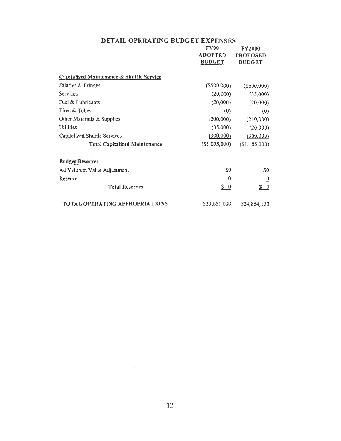## DETAIL OPERATING BUDGET EXPENSES

|                                           | <b>FY99</b>    | FY2000          |
|-------------------------------------------|----------------|-----------------|
|                                           | <b>ADOPTED</b> | <b>PROPOSED</b> |
|                                           | <b>BUDGET</b>  | <b>BUDGET</b>   |
|                                           |                |                 |
| Capitalized Maintenance & Shuttle Service |                |                 |
| Salaries & Fringes                        | (\$500,000)    | $($ \$600,000)  |
| Services                                  | (20,000)       | (35,000)        |
| Fuel & Lubricants                         | (20,000)       | (20,000)        |
| Tires & Tubes                             | (0)            | (0)             |
| Other Materials & Supplies                | (200,000)      | (210,000)       |
| Utilities                                 | (35,000)       | (20,000)        |
| Capitalized Shuttle Services              | (300,000)      | (300,000)       |
| <b>Total Capitalized Maintenance</b>      | (S1,075,000)   | (\$1, 185, 000) |
| <b>Budget Reserves</b>                    |                |                 |
|                                           |                |                 |
| Ad Valorem Value Adjustment               | S <sub>0</sub> | \$0             |
| Reserve                                   | $\overline{0}$ | $\overline{0}$  |
| <b>Total Reserves</b>                     | $\frac{\$}{0}$ | <u>s o</u>      |
| TOTAL OPERATING APPROPRIATIONS            | \$23,661,000   | \$24,864,150    |

 $\label{eq:2.1} \frac{1}{2}\sum_{i=1}^n\frac{1}{2}\sum_{i=1}^n\frac{1}{2}\sum_{i=1}^n\frac{1}{2}\sum_{i=1}^n\frac{1}{2}\sum_{i=1}^n\frac{1}{2}\sum_{i=1}^n\frac{1}{2}\sum_{i=1}^n\frac{1}{2}\sum_{i=1}^n\frac{1}{2}\sum_{i=1}^n\frac{1}{2}\sum_{i=1}^n\frac{1}{2}\sum_{i=1}^n\frac{1}{2}\sum_{i=1}^n\frac{1}{2}\sum_{i=1}^n\frac{1}{2}\sum_{i=1}^n\$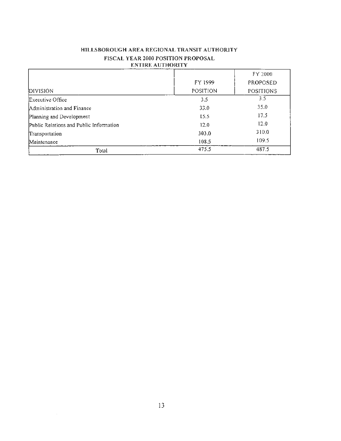| HILLSBOROUGH AREA REGIONAL TRANSIT AUTHORITY |
|----------------------------------------------|
| <b>FISCAL YEAR 2000 POSITION PROPOSAL</b>    |
| ENTIRE AUTHORITY                             |

|                                         |                 | FY 2000          |
|-----------------------------------------|-----------------|------------------|
|                                         | FY 1999         | <b>PROPOSED</b>  |
| DIVISION                                | <b>POSITION</b> | <b>POSITIONS</b> |
| Executive Office                        | 3.5             | 3.5              |
| Administration and Finance              | 33.0            | 35.0             |
| Planning and Development                | 15.5            | 17.5             |
| Public Relations and Public Information | 12.0            | 12.0             |
| Transportation                          | 303.0           | 310.0            |
| Maintenance                             | 108.5           | 109.5            |
| Total                                   | 475.5           | 487.5            |

 $\bar{\gamma}$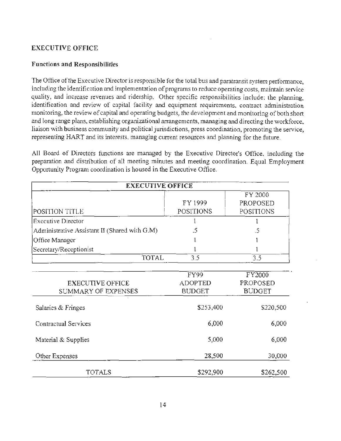#### EXECUTIVE OFFICE

#### Functions and Responsibilities

The Office of the Executive Director is responsible for the total bus and paratransit system performance, including the identification and implementation of programs to reduce operating costs, maintain service quality, and increase revenues and ridership. Other specific responsibilities include: the planning, identification and review of capital facility and equipment requirements, contract administration monitoring, the review of capital and operating budgets, the development and monitoring of both short and long range plans, establishing organizational arrangements, managing and directing the workforce, liaison with business community and political jurisdictions, press coordination, promoting the service, representing HART and its interests, managing current resources and planning for the future.

All Board of Directors functions are managed by the Executive Director's Office. including the preparation and distribution of all meeting minutes and meeting coordination. Equal Employment Opportunity Program coordination is housed in the Executive Office.

| <b>EXECUTIVE OFFICE</b>                        |                                         |                                                |  |  |
|------------------------------------------------|-----------------------------------------|------------------------------------------------|--|--|
| POSITION TITLE                                 | FY 1999<br><b>POSITIONS</b>             | FY 2000<br><b>PROPOSED</b><br><b>POSITIONS</b> |  |  |
| <b>Executive Director</b>                      |                                         |                                                |  |  |
| Administrative Assistant II (Shared with G.M)  | .5                                      | .5                                             |  |  |
| Office Manager                                 |                                         |                                                |  |  |
| Secretary/Receptionist                         |                                         |                                                |  |  |
| <b>TOTAL</b>                                   | 3.5                                     | 3.5                                            |  |  |
|                                                |                                         |                                                |  |  |
| <b>EXECUTIVE OFFICE</b><br>SUMMARY OF EXPENSES | FY99<br><b>ADOPTED</b><br><b>BUDGET</b> | FY2000<br>PROPOSED<br><b>BUDGET</b>            |  |  |
| Salaries & Fringes                             | \$253,400                               | \$220,500                                      |  |  |
| Contractual Services                           | 6,000                                   | 6,000                                          |  |  |
| Material & Supplies                            | 5,000                                   | 6,000                                          |  |  |
| Other Expenses                                 | 28,500                                  | 30,000                                         |  |  |
| <b>TOTALS</b>                                  | \$292,900                               | \$262,500                                      |  |  |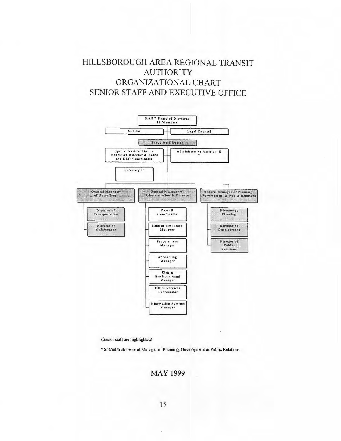# HILLSBOROUGH AREA REGIONAL TRANSIT AUTHORITY ORGANIZATIONAL CHART SENIOR STAFF AND EXECUTIVE OFFICE



(Senior staff are highlighted)

• Shared with General Manager of Planning, Development & Public Relations

MAY 1999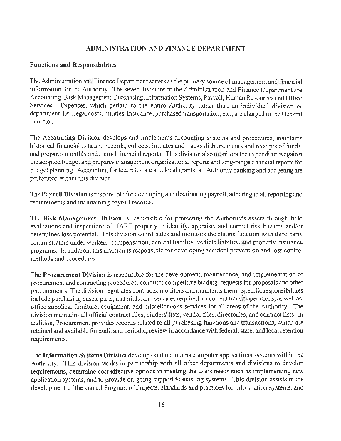#### ADMINISTRATION AND FINANCE DEPARTMENT

#### Functions and Responsibilities

The Administration and Finance Department serves as the primary source of management and financial information for the Authority. The seven divisions in the Administration and Finance Department are Accounting, Risk Management, Purchasing, Information Systems, Payroll, Human Resources and Office Services. Expenses. which pertain to the entire Authority rather than an individual division or department, i.e., legal costs, utilities, insurance, purchased transportation, etc., are charged to the General Function.

The Accounting Division develops and implements accounting systems and procedures, maintains historical financial data and records, collects, initiates and tracks disbursements and receipts of funds, and prepares monthly and annual financial reports. This division also monitors the expenditures against the adopted budget and prepares management organizational reports and long-range financial reports for budget planning. Accounting for federal, state and local grants, all Authority banking and budgeting are performed within this division.

The Payroll Division is responsible for developing and distributing payroll, adhering to all reporting and requirements and maintaining payroll records.

The Risk Management Division is responsible for protecting the Authority's assets through field evaluations and inspections of HART property to identify, appraise, and correct risk hazards and/or determines loss potential. This division coordinates and monitors the claims function with third party administrators under workers' compensation, general liability, vehicle liability, and property insurance programs. In addition, this division is responsible for developing accident prevention and loss control methods and procedures.

The Procurement Division is responsible for the development, maintenance, and implementation of procurement and contracting procedures, conducts competitive bidding, requests for proposals and other procurements. The division negotiates contracts, monitors and maintains them. Specific responsibilities include purchasing buses, parts, materials, and services required for current transit operations, as well as, office supplies, furniture, equipment, and miscellaneous services for all areas of the Authority. The division maintains all official contract files, bidders' lists, vendor files, directories, and contract lists. In addition, Procurement provides records related to all purchasing functions and transactions, which are retained and available for audit and periodic, review in accordance with federal, state, and local retention requirements.

The Information Systems Division develops and maintains computer applications systems within the Authority. This division works in partnership with all other departments and divisions to develop requirements, determine cost effective options in meeting the users needs such as implementing new application systems, and to provide on-going support to existing systems. This division assists in the development of the annual Program of Projects, standards and practices for information systems, and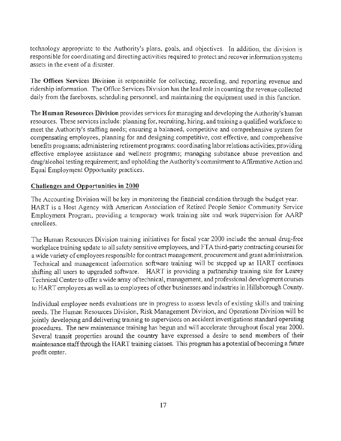technology appropriate to the Authority's plans, goals, and objectives. In addition, the division is responsible for coordinating and directing activities required to protect and recover information systems assets in the event of a disaster.

The Offices Services Division is responsible for collecting, recording, and reporting revenue and ridership information. The Office Services Division has the lead role in counting the revenue collected daily from the fareboxes, scheduling personnel, and maintaining the equipment used in this function.

The Human Resources Division provides services for managing and developing the Authority's human resources. These services include: planning for, recruiting, hiring, and training a qualified workforce to meet the Authority's staffing needs; ensuring a balanced, competitive and comprehensive system for compensating employees, planning for and designing competitive, cost effective, and comprehensive benefits programs; administering retirement programs; coordinating labor relations activities; providing effective employee assistance and wellness programs; managing substance abuse prevention and drug/alcohol testing requirement; and upholding the Authority's commitment to Affirmative Action and Equal Employment Opportunity practices.

#### Challenges and Opportunities in 2000

The Accounting Division will be key in monitoring the financial condition through the budget year. HART is a Host Agency with American Association of Retired People Senior Community Service Employment Program, providing a temporary work training site and work supervision for AARP enrollees.

The Human Resources Division training initiatives for fiscal year 2000 include the annual drug-free workplace training update to all safety sensitive employees, and FTA third-party contracting courses for a wide variety of employees responsible for contract management, procurement and grant administration. Technical and management information software training will be stepped up as HART continues shifting all users to upgraded software. HART is providing a partnership training site for Learey Technical Center to offer a wide array of technical, management, and professional development courses to HART employees as well as to employees of other businesses and industries in Hillsborough County.

Individual employee needs evaluations are in progress to assess levels of existing skills and training needs. The Human Resources Division, Risk Management Division, and Operations Division will be jointly developing and delivering training to supervisors on accident investigations standard operating procedures. The new maintenance training has begun and will accelerate throughout fiscal year 2000. Several transit properties around the country have expressed a desire to send members of their maintenance staff through the HART training classes. This program has a potential of becoming a future profit center.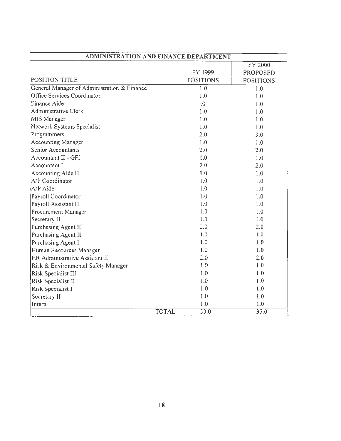| ADMINISTRATION AND FINANCE DEPARTMENT       |                  |                  |  |
|---------------------------------------------|------------------|------------------|--|
|                                             |                  | FY 2000          |  |
|                                             | FY 1999          | PROPOSED         |  |
| POSITION TITLE                              | <b>POSITIONS</b> | <b>POSITIONS</b> |  |
| General Manager of Administration & Finance | 1.0              | 1.0              |  |
| Office Services Coordinator                 | 1.0              | 1.0              |  |
| Finance Aide                                | $\mathbf{0}$     | 1.0              |  |
| Administrative Clerk                        | 1.0              | 1.0              |  |
| MIS Manager                                 | 1.0              | 1.0              |  |
| Network Systems Specialist                  | 1.0              | 1.0              |  |
| Programmers                                 | 2.0              | 3.0              |  |
| Accounting Manager                          | 1.0              | 1.0              |  |
| Senior Accountants                          | 2.0              | 2.0              |  |
| Accountant II - GFI                         | 1.0              | 1.0              |  |
| Accountant I                                | 2.0              | 2.0              |  |
| Accounting Aide II                          | 1.0              | 1.0              |  |
| A/P Coordinator                             | 1.0              | 1.0              |  |
| A/P Aide                                    | 1.0              | 1.0              |  |
| Payroll Coordinator                         | 1.0              | 1.0              |  |
| Payroll Assistant II                        | 1.0              | 1.0              |  |
| Procurement Manager                         | 1.0              | 1.0              |  |
| Secretary II                                | 1.0              | 1.0              |  |
| Purchasing Agent III                        | 2.0              | 2.0              |  |
| Purchasing Agent II                         | 1.0              | 1.0              |  |
| Purchasing Agent I                          | 1.0              | 1.0              |  |
| Human Resources Manager                     | 1,0              | 1.0              |  |
| HR Administrative Assistant II              | 2.0              | 2.0              |  |
| Risk & Environmental Safety Manager         | 1.0              | 1.0              |  |
| Risk Specialist III                         | 1.0              | 1.0              |  |
| Risk Specialist II                          | 1.0              | 1.0              |  |
| Risk Specialist I                           | 1.0              | 1.0              |  |
| Secretary II                                | 1.0              | 1.0              |  |
| Intern                                      | 1.0              | 1.0              |  |
| <b>TOTAL</b>                                | 33.0             | 35.0             |  |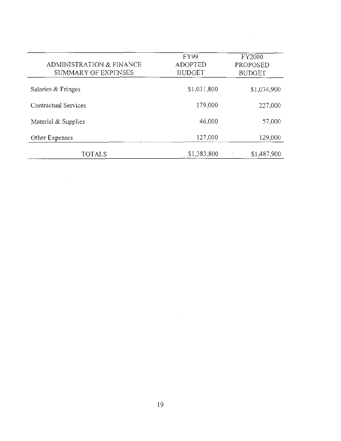| ADMINISTRATION & FINANCE<br>SUMMARY OF EXPENSES | <b>FY99</b><br><b>ADOPTED</b><br><b>BUDGET</b> | FY2000<br>PROPOSED<br><b>BUDGET</b> |
|-------------------------------------------------|------------------------------------------------|-------------------------------------|
| Salaries & Fringes                              | \$1,031,800                                    | \$1,074,900                         |
| Contractual Services                            | 179,000                                        | 227,000                             |
| Material & Supplies                             | 46,000                                         | 57,000                              |
| Other Expenses                                  | 127,000                                        | 129,000                             |
| TOTALS                                          | \$1,383,800                                    | \$1,487,900                         |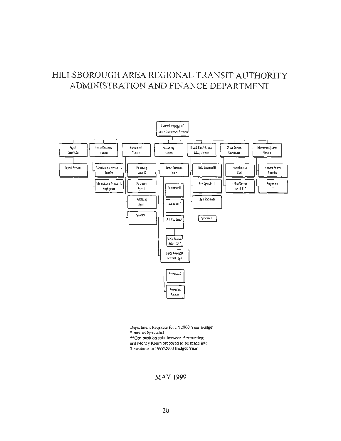# HILLSBOROUGH AREA REGIONAL TRANSIT AUTHORITY ADMINISTRATION AND FINANCE DEPARTMENT



Department Requests for FY2000 Year Budget \*Intranet Specialist \*\*One position split between Accounting and Money Room proposed to be made into 2 positions in 199912000 Budget Year

#### MAY 1999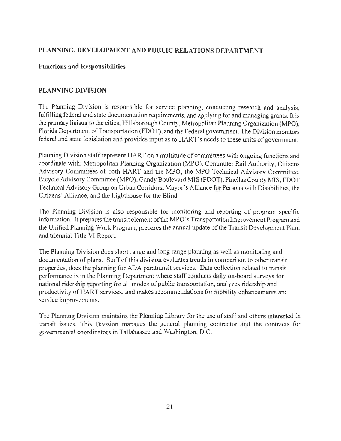### **PLANNlNG, DEVELOPMENT AND PUBLIC RELATIONS DEPARTMENT**

#### **Functions and Responsibilities**

#### **PLANNING DIVISION**

The Planning Division is responsible for service planning, conducting research and analysis, fulfilling federal and state documentation requirements, and applying for and managing grants. It is the primary liaison to the cities, Hillsborough County, Metropolitan Planning Organization (MPO), Florida Department of Transportation (FDOT), and the Federal government. The Division monitors federal and state legislation and provides input as to HART's needs to these units of government.

Planning Division staff represent HART on a multitude of committees with ongoing functions and coordinate with: Metropolitan Planning Organization (MPO), Commuter Rail Authority, Citizens Advisory Committees of both HART and the MPO, the MPO Technical Advisory Committee, Bicycle Advisory Committee (MPO), Gandy Boulevard MIS (FOOT), Pinellas County MlS, FOOT Technical Advisory Group on Urban Corridors, Mayor's Alliance for Persons with Disabilities, the Citizens' Alliance, and the Lighthouse for the Blind.

The Planning Division is also responsible for monitoring and reporting of program specific information. It prepares the transit element of the MPO's Transportation Improvement Program and the Unified Planning Work Program, prepares the annual update of the Transit Development Plan, and triennial Title VI Report.

The Planning Division does short range and long range planning as well as monitoring and documentation of plans. Staff of this division evaluates trends in comparison to other transit properties, does the planning for ADA paratransit services. Data collection related to transit performance is in the Planning Department where staff conducts daily on-board surveys for national ridership reporting for all modes of public transportation, analyzes ridership and productivity of HART services, and makes recommendations for mobility enhancements and service improvements.

The Planning Division maintains the Planning Library for the use of staff and others interested in transit issues. This Division manages the general planning contractor and the contracts for governmental coordinators in Tallahassee and Washington, D.C.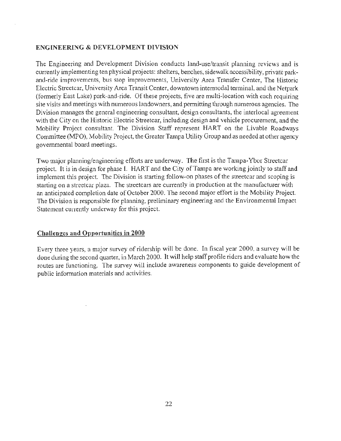#### **ENGINEERING & DEVELOPMENT DIVISION**

The Engineering and Development Division conducts land-use/transit planning reviews and is currently implementing ten physical projects: shelters, benches, sidewalk accessibility, private parkand-ride improvements, bus stop improvements, University Area Transfer Center, The Historic Electric Streetcar, University Area Transit Center, downtown intermodal terminal, and the Netpark (formerly East Lake) park-and-ride. Of these projects, five are multi-location with each requiring site visits and meetings with numerous landowners, and permitting through numerous agencies. The Division manages the general engineering consultant, design consultants, the interlocal agreement with the City on the Historic Electric Streetcar, including design and vehicle procurement, and the Mobility Project consultant. The Division Staff represent HART on the Livable Roadways Committee (MPO), Mobility Project, the Greater Tampa Utility Group and as needed at other agency governmental board meetings.

Two major planning/engineering efforts are underway. The first is the Tampa-Ybor Streetcar project. It is in design for phase I. HART and the City of Tampa are working jointly to staff and implement this project. The Division is starting follow-on phases of the streetcar and scoping is starting on a streetcar plaza. The streetcars are currently in production at the manufacturer with an anticipated completion date of October 2000. The second major effort is the Mobility Project. The Division is responsible for planning, preliminary engineering and the Environmental Impact Statement currently underway for this project.

#### **Challenges and Opportunities in 2000**

Every three years, a major survey of ridership will be done. In fiscal year 2000, a survey will be done during the second quarter, in March 2000. It will help staff profile riders and evaluate how the routes are functioning. The survey will include awareness components to guide development of public information materials and activities.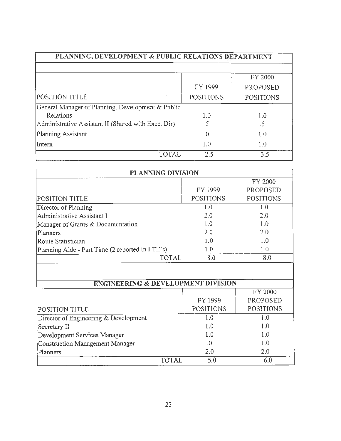| PLANNING, DEVELOPMENT & PUBLIC RELATIONS DEPARTMENT |                  |                     |
|-----------------------------------------------------|------------------|---------------------|
|                                                     | FY 1999          | FY 2000<br>PROPOSED |
| POSITION TITLE                                      | <b>POSITIONS</b> | <b>POSITIONS</b>    |
| General Manager of Planning, Development & Public   |                  |                     |
| Relations                                           | 1.0              | 1.0                 |
| Administrative Assistant II (Shared with Exec. Dir) | .5               | .5                  |
| Planning Assistant                                  | .0               | 1.0                 |
| Intern                                              | 1.0              | 1.0                 |
| <b>TOTAL</b>                                        | 2.5              | 3.5                 |

 $\hat{\mathcal{A}}$ 

| PLANNING DIVISION                               |                  |                  |  |
|-------------------------------------------------|------------------|------------------|--|
|                                                 |                  | FY 2000          |  |
|                                                 | FY 1999          | PROPOSED         |  |
| POSITION TITLE                                  | <b>POSITIONS</b> | <b>POSITIONS</b> |  |
| Director of Planning                            | 1.0              | 1.0              |  |
| Administrative Assistant I                      | 2.0              | 2.0              |  |
| Manager of Grants & Documentation               | 1.0              | 1.0              |  |
| Planners                                        | 2.0              | 2.0              |  |
| Route Statistician                              | 1.0              | 1.0              |  |
| Planning Aide - Part Time (2 reported in FTE's) | $1.0\,$          | 1.0              |  |
| TOTAL                                           | 8.0              | 8.0              |  |

| <b>ENGINEERING &amp; DEVELOPMENT DIVISION</b> |              |                  |                  |
|-----------------------------------------------|--------------|------------------|------------------|
|                                               |              |                  | FY 2000          |
|                                               |              | FY 1999          | <b>PROPOSED</b>  |
| <b>POSITION TITLE</b>                         |              | <b>POSITIONS</b> | <b>POSITIONS</b> |
| Director of Engineering & Development         |              | 1.0              | Ł0               |
| Secretary II                                  |              | 1.0              | 1.0              |
| Development Services Manager                  |              | 1.0              | 1.0              |
| Construction Management Manager               |              | .0               | 1.0              |
| Planners                                      |              | 2.0              | 2.0              |
|                                               | <b>TOTAI</b> | 5.0              |                  |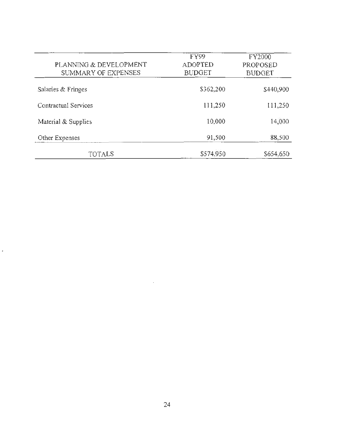| PLANNING & DEVELOPMENT<br>SUMMARY OF EXPENSES | <b>FY99</b><br><b>ADOPTED</b><br><b>BUDGET</b> | FY2000<br>PROPOSED<br><b>BUDGET</b> |
|-----------------------------------------------|------------------------------------------------|-------------------------------------|
| Salaries & Fringes                            | \$362,200                                      | \$440,900                           |
| Contractual Services                          | 111,250                                        | 111,250                             |
| Material & Supplies                           | 10,000                                         | 14,000                              |
| Other Expenses                                | 91,500                                         | 88,500                              |
| TOTALS                                        | \$574,950                                      | \$654,650                           |

à.

 $\bar{\psi}$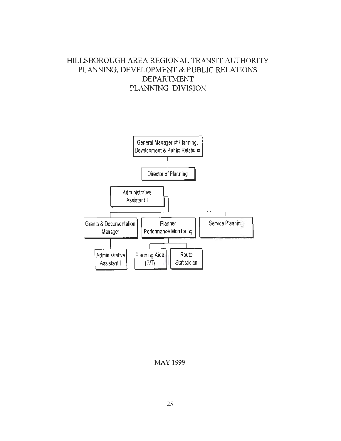# HILLSBOROUGH AREA REGIONAL TRANSIT AUTHORITY PLANNING, DEVELOPMENT & PUBLIC RELATIONS DEPARTMENT PLANNING DIVISION



#### MAY 1999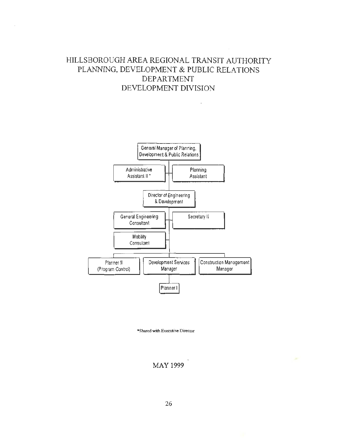# HILLSBOROUGH AREA REGIONAL TRANSIT AUTHORITY PLANNING, DEVELOPMENT & PUBLIC RELATIONS DEPARTMENT DEVELOPMENT DIVISION

 $\ddot{\phantom{a}}$ 



•Shared with Executive Director



×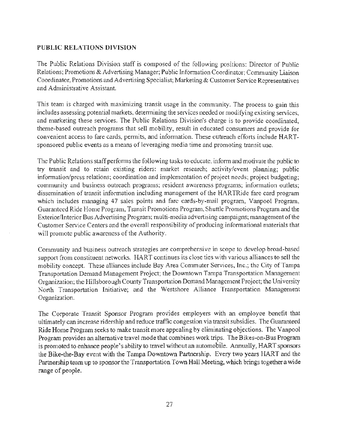#### PUBLIC RELATIONS DIVISION

The Public Relations Division staff is composed of the following positions: Director of Public Relations; Promotions & Advertising Manager; Public Information Coordinator; Community Liaison Coordinator, Promotions and Advertising Specialist; Marketing & Customer Service Representatives and Administrative Assistant.

This team is charged with maximizing transit usage in the community. The process to gain this includes assessing potential markets, determining the services needed or modifying existing services, and marketing these services. The Public Relations Division's charge is to provide coordinated, theme-based outreach programs that sell mobility, result in educated consumers and provide for convenient access to fare cards, permits, and information. These outreach efforts include HARTsponsored public events as a means of leveraging media time and promoting transit use.

The Public Relations staff performs the following tasks to educate, inform and motivate the public to try transit and to retain existing riders: market research; activity/event planning; public information/press relations; coordination and implementation of project needs; project budgeting; community and business outreach programs; resident awareness programs; information outlets; dissemination of transit information including management of the HARTRide fare card program which includes managing 47 sales points and fare cards-by-mail program, Vanpool Program, Guaranteed Ride Home Program, Transit Promotions Program, Shuttle Promotions Program and the Exterior/Interior Bus Advertising Program; multi-media advertising campaigns; management of the Customer Service Centers and the overall responsibility of producing informational materials that will promote public awareness of the Authority.

Community and business outreach strategies are comprehensive in scope to develop broad-based support from constituent networks. HART continues its close ties with various alliances to sell the mobility concept. These alliances include Bay Area Commuter Services, Inc.; the City of Tampa Transportation Demand Management Project; the Downtown Tampa Transportation Management Organization; the Hillsborough County Transportation Demand Management Project; the University North Transportation Initiative; and the Westshore Alliance Transportation Management Organization.

The Corporate Transit Sponsor Program provides employers with an employee benefit that ultimately can increase ridership and reduce traffic congestion via transit subsidies. The Guaranteed Ride Home Program seeks to make transit more appealing by eliminating objections. The Vanpool Program provides an alternative travel mode that combines work trips. The Bikes-on-Bus Program is promoted to enhance people's ability to travel without an automobile. Annually, HART sponsors the Bike-the-Bay event with the Tampa Downtown Partnership. Every two years HART and the Partnership team up to sponsor the Transportation Town Hall Meeting, which brings together a wide range of people.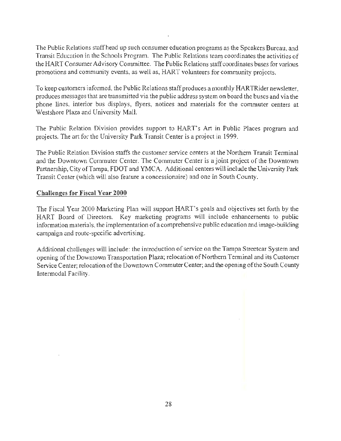The Public Relations staff head up such consumer education programs as the Speakers Bureau, and Transit Education in the Schools Program. The Public Relations team coordinates the activities of the HART Consumer Advisory Committee. The Public Relations staff coordinates buses for various promotions and community events, as well as, HART volunteers for community projects.

To keep customers informed, the Public Relations staff produces a monthly HARTRider newsletter, produces messages that are transmitted via the public address system on board the buses and via the phone lines, interior bus displays, flyers, notices and materials for the commuter centers at Westshore Plaza and University Mall.

The Public Relation Division provides support to HART's Art in Public Places program and projects. The art for the University Park Transit Center is a project in 1999.

The Public Relation Division staffs the customer service centers at the Northern Transit Terminal and the Downtown Commuter Center. The Commuter Center is a joint project of the Downtown Partnership, City of Tampa, FDOT and YMCA. Additional centers will include the University Park Transit Center (which will also feature a concessionaire) and one in South County.

#### **Challenges for Fiscal Year 2000**

The Fiscal Year 2000 Marketing Plan will support HART's goals and objectives set forth by the HART Board of Directors. Key marketing programs will include enhancements to public information materials. the implementation of a comprehensive public education and image-building campaign and route-specific advertising.

Additional challenges will include: the introduction of service on the Tampa Streetcar System and opening of the Downtown Transportation Plaza; relocation of Northern Terminal and its Customer Service Center; relocation of the Downtown Commuter Center; and the opening of the South County Intermodal Facility.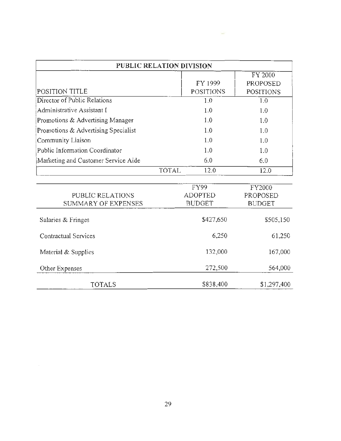| PUBLIC RELATION DIVISION              |                  |                  |
|---------------------------------------|------------------|------------------|
|                                       |                  | FY 2000          |
|                                       | FY 1999          | <b>PROPOSED</b>  |
| POSITION TITLE                        | <b>POSITIONS</b> | <b>POSITIONS</b> |
| Director of Public Relations          | 1.0              | 1.0              |
| Administrative Assistant I            | 1.0              | 1.0              |
| Promotions & Advertising Manager      | 1.0              | 1.0              |
| Promotions & Advertising Specialist   | 1.0              | 1.0              |
| Community Liaison                     | 1.0              | 1.0              |
| <b>Public Information Coordinator</b> | 1.0              | 1.0              |
| Marketing and Customer Service Aide   | 6.0              | 6.0              |
| <b>TOTAL</b>                          | 12.0             | 12.0             |
|                                       |                  |                  |
|                                       | FY99             | FY2000           |
| PUBLIC RELATIONS                      | <b>ADOPTED</b>   | <b>PROPOSED</b>  |
| <b>SUMMARY OF EXPENSES</b>            | <b>BUDGET</b>    | <b>BUDGET</b>    |
| Salaries & Fringes                    | \$427,650        | \$505,150        |
| Contractual Services                  | 6,250            | 61,250           |
| Material & Supplies                   | 132,000          | 167,000          |
| Other Expenses                        | 272,500          | 564,000          |
| <b>TOTALS</b>                         | \$838,400        | \$1,297,400      |

 $\sim$ 

29

 $\sim 10^{-1}$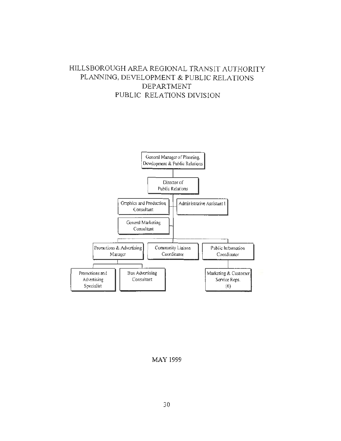## HILLSBOROUGH AREA REGIONAL TRANSIT AUTHORITY PLANNfNG, DEVELOPMENT & PUBLIC RELATIONS DEPARTMENT PUBLIC RELATIONS DIVISION



MAY 1999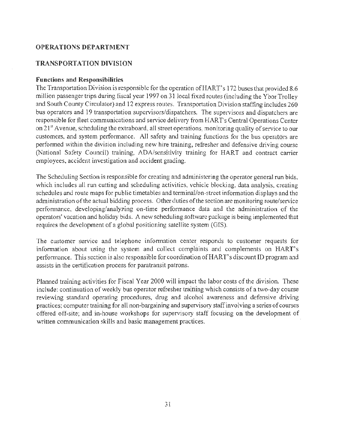## **OPERA TIO NS DEPARTMENT**

#### **TRANSPORTATION DIVISION**

#### **Functions and Responsibilities**

The Transportation Division is responsible for the operation of HART's 172 buses that provided 8.6 million passenger trips during fiscal year 1997 on 31 local fixed routes (including the Ybor Trolley and South County Circulator) and 12 express routes. Transportation Division staffing includes 260 bus operators and 19 transportation supervisors/dispatchers. The supervisors and dispatchers are responsible for fleet communications and service delivery from HAR T's Central Operations Center on 21<sup>st</sup> Avenue, scheduling the extraboard, all street operations, monitoring quality of service to our customers, and system performance. All safety and training functions for the bus operators are performed within the division including new hire training, refresher and defensive driving course (National Safety Council) training, ADA/sensitivity training for HART and contract carrier employees, accident investigation and accident grading.

The Scheduling Section is responsible for creating and administering the operator general run bids, which includes all run cutting and scheduling activities, vehicle blocking, data analysis, creating schedules and route maps for public timetables and terminal/on-street information displays and the administration of the actual bidding process. Other duties of the section arc monitoring route/service performance, developing/analyzing on-time performance data and the administration of the operators' vacation and holiday bids. A new scheduling software package is being implemented that requires the development of a global positioning satellite system (GIS).

The customer service and telephone information center responds to customer requests for information about using the system and collect complaints and complements on HART's performance. This section is also responsible for coordination of HAR T's discount ID program and assists in the certification process for paratransit patrons.

Planned training activities for Fiscal Year 2000 will impact the labor costs of the division. These include: continuation of weekly bus operator refresher training which consists of a two-day course reviewing standard operating procedures, drug and alcohol awareness and defensive driving practices; computer training for all non-bargaining and supervisory staff involving a series of courses offered off-site; and in-house workshops for supervisory staff focusing on the development of written communication skills and basic management practices.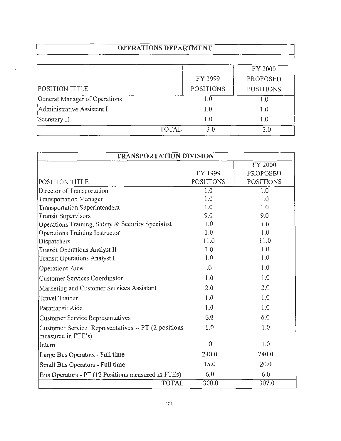| <b>OPERATIONS DEPARTMENT</b>  |                  |                  |
|-------------------------------|------------------|------------------|
|                               |                  | FY 2000          |
|                               | FY 1999          | PROPOSED         |
| POSITION TITLE                | <b>POSITIONS</b> | <b>POSITIONS</b> |
| General Manager of Operations | 1.0              | $1.0\,$          |
| Administrative Assistant I    | 1.0              | 1.0              |
| Secretary II                  | 1.0              | 1.0              |
| <b>TOTAL</b>                  | 3.0              | 3.0              |

| TRANSPORTATION DIVISION                                                     |                  |                  |
|-----------------------------------------------------------------------------|------------------|------------------|
|                                                                             |                  | FY 2000          |
|                                                                             | FY 1999          | PROPOSED         |
| POSITION TITLE                                                              | <b>POSITIONS</b> | <b>POSITIONS</b> |
| Director of Transportation                                                  | 1.0              | 1.0              |
| Transportation Manager                                                      | 1.0              | 1.0              |
| <b>Transportation Superintendent</b>                                        | 1.0              | 1.0              |
| <b>Transit Supervisors</b>                                                  | 9.0              | 9.0              |
| Operations Training, Safety & Security Specialist                           | 1.0              | 1.0              |
| Operations Training Instructor                                              | 1.0              | 1.0              |
| Dispatchers                                                                 | 11.0             | 11.0             |
| Transit Operations Analyst II                                               | 1.0              | 1.0              |
| Transit Operations Analyst I                                                | 1.0              | 1.0              |
| Operations Aide                                                             | 0.               | 1.0              |
| Customer Services Coordinator                                               | 1.0              | 1.0              |
| Marketing and Customer Services Assistant                                   | 2.0              | 2.0              |
| <b>Travel Trainer</b>                                                       | 1.0              | 1.0              |
| Paratransit Aide                                                            | 1.0              | 1.0              |
| <b>Customer Service Representatives</b>                                     | 6.0              | 6.0              |
| Customer Service. Representatives $- PT$ (2 positions<br>measured in FTE's) | 1.0              | 1.0              |
| Intern                                                                      | $\cdot$          | 1.0              |
| Large Bus Operators - Full time                                             | 240.0            | 240.0            |
| Small Bus Operators - Full time                                             | 15.0             | 20.0             |
| Bus Operators - PT (12 Positions measured in FTEs)                          | 6.0              | 6.0              |
| <b>TOTAL</b>                                                                | 300.0            | 307.0            |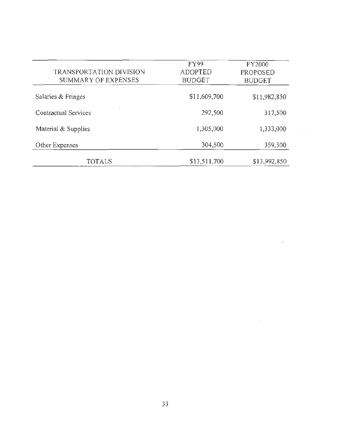| TRANSPORTATION DIVISION<br>SUMMARY OF EXPENSES | FY99<br><b>ADOPTED</b><br><b>BUDGET</b> | FY2000<br><b>PROPOSED</b><br><b>BUDGET</b> |
|------------------------------------------------|-----------------------------------------|--------------------------------------------|
| Salaries & Fringes                             | \$11,609,700                            | \$11,982,850                               |
| Contractual Services                           | 292,500                                 | 317,500                                    |
| Material & Supplies                            | 1,305,000                               | 1,333,000                                  |
| Other Expenses                                 | 304,500                                 | 359,500                                    |
| TOTALS                                         | \$13,511,700                            | \$13,992,850                               |

 $\sim$ 

 $\bar{\mathcal{A}}$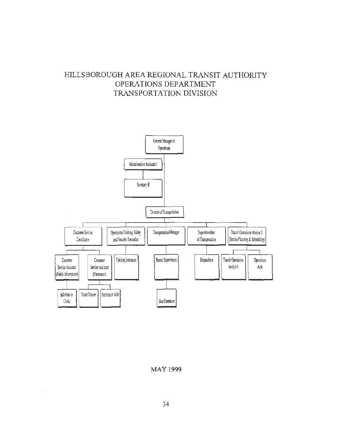# **HILLSBOROUGH AREA REGIONAL TRANSIT AUTHORlTY OPERATIONS DEPARTMENT TRANSPORTATION DIVISION**



**MAY 1999**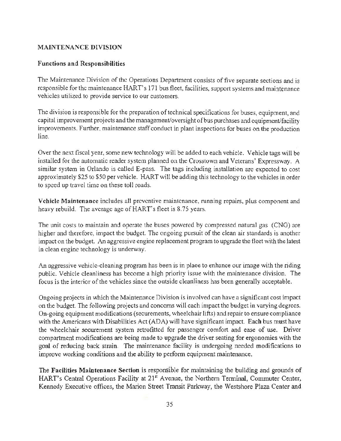#### MAINTENANCE DIVISION

#### Functions and ResponsibiJities

The Maintenance Division of the Operations Department consists of five separate sections and is responsible for the maintenance HART's 171 bus fleet, facilities, support systems and maintenance vehicles utilized to provide service to our customers.

The division is responsible for the preparation of technical specifications for buses, equipment, and capital improvement projects and the management/oversight of bus purchases and equipment/facility improvements. Further, maintenance staff conduct in plant inspections for buses on the production line.

Over the next fiscal year, some new technology will be added to each vehicle. Vehicle tags will be installed for the automatic reader system planned on the Crosstown and Veterans' Expressway. A similar system in Orlando is called E-pass. The tags including installation are expected to cost approximately \$25 to \$50 per vehicle. HART will be adding this technology to the vehicles in order to speed up travel time on these toll roads.

Vehicle Maintenance includes all preventive maintenance, running repairs, plus component and heavy rebuild. The average age of HART's fleet is 8.75 years.

The unit costs to maintain and operate the buses powered by compressed natural gas (CNG) are higher and therefore, impact the budget. The ongoing pursuit of the clean air standards is another impact on the budget. An aggressive engine replacement program to upgrade the fleet with the latest in clean engine technology is underway.

An aggressive vehicle-cleaning program has been is in place to enhance our image with the riding public. Vehicle cleanliness has become a high priority issue with the maintenance division. The focus is the interior of the vehicles since the outside cleanliness has been generally acceptable.

Ongoing projects in which the Maintenance Division is involved can have a significant cost impact on the budget. The following projects and concerns will each impact the budget in varying degrees. On-going equipment modifications (securements, wheelchair lifts) and repair to ensure compliance with the Americans with Disabilities Act (ADA) will have significant impact. Each bus must have the wheelchair securement system retrofitted for passenger comfort and ease of use. Driver compartment modifications are being made to upgrade the driver seating for ergonomics with the goal of reducing back strain. The maintenance facility is undergoing needed modifications to improve working conditions and the ability to perform equipment maintenance.

The Facilities Maintenance Section is responsible for maintaining the building and grounds of HART's Central Operations Facility at 21<sup>st</sup> Avenue, the Northern Terminal, Commuter Center, Kennedy Executive offices, the Marion Street Transit Parkway, the Westshore Plaza Center and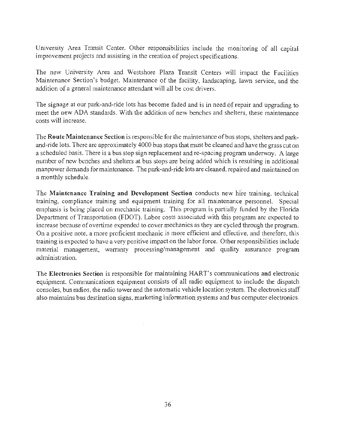University Area Transit Center. Other responsibilities include the monitoring of all capital improvement projects and assisting in the creation of project specifications.

The new University Area and Westshore Plaza Transit Centers will impact the Facilities Maintenance Section's budget. Maintenance of the facility, landscaping, lawn service, and the addition of a general maintenance attendant will all be cost drivers.

The signage at our park-and-ride lots has become faded and is in need of repair and upgrading to meet the new ADA standards. With the addition of new benches and shelters, these maintenance costs will increase.

The **Route Maintenance Section** is responsible for the maintenance of bus stops, shelters and parkand-ride lots. There are approximately 4000 bus stops that must be cleaned and have the grass cut on a scheduled basis. There is a bus stop sign replacement and re-spacing program underway. A large number of new benches and shelters at bus stops are being added which is resulting in additional manpower demands for maintenance. The park-and-ride lots are cleaned, repaired and maintained on a monthly schedule.

The **Maintenance Training and Development Section** conducts new hire training, technical training, compliance training and equipment training for all maintenance personnel. Special emphasis is being placed on mechanic training. This program is partially funded by the Florida Department of Transportation (FDOT). Labor costs associated with this program are expected to increase because of overtime expended to cover mechanics as they are cycled through the program. On a positive note, a more proficient mechanic is more efficient and effective, and therefore, this training is expected to have a very positive impact on the labor force. Other responsibilities include material management, warranty processing/management and quality assurance program administration.

The **Electronics Section** is responsible for maintaining HART's communications and electronic equipment. Communications equipment consists of all radio equipment to include the dispatch consoles, bus radios, the radio tower and the automatic vehicle location system. The electronics staff also maintains bus destination signs, marketing information systems and bus computer electronics.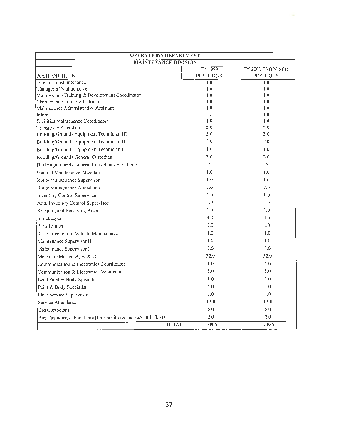| <b>OPERATIONS DEPARTMENT</b>                                 |                   |                  |  |
|--------------------------------------------------------------|-------------------|------------------|--|
| <b>MAINTENANCE DIVISION</b>                                  |                   |                  |  |
|                                                              | FY 1999           | FY 2000 PROPOSED |  |
| POSITION TITLE                                               | <b>POSITIONS</b>  | <b>POSITIONS</b> |  |
| Director of Maintenance                                      | 1.0               | 1.0              |  |
| Manager of Maintenance                                       | 1.0               | 1.0              |  |
| Maintenance Training & Development Coordinator               | 1.0               | 1.0              |  |
| Maintenance Training Instructor                              | 1.0               | 1.0              |  |
| Maintenance Administrative Assistant                         | 1.0               | 1.0              |  |
| Intern<br>Facilities Maintenance Coordinator                 | $\Omega$ .<br>0.1 | 1.0<br>1.0       |  |
| <b>Transitway Attendants</b>                                 | 5.0               | 5.0              |  |
| Building/Grounds Equipment Technician III                    | 3.0               | 3.0              |  |
| Building/Grounds Equipment Technician II                     | 2.0               | 2.0              |  |
| Building/Grounds Equipment Technician I                      | 1.0               | 1.0              |  |
|                                                              | 3.0               | 3.0              |  |
| Building/Grounds General Custodian                           | $\mathfrak{Z}$    | .5               |  |
| Building/Grounds General Custodian - Part Time               | 1.0               | 1,0              |  |
| General Maintenance Attendant                                |                   |                  |  |
| Route Maintenance Supervisor                                 | 1.0               | 1.0              |  |
| Route Maintenance Attendants                                 | 7.0               | 7.0              |  |
| Inventory Control Supervisor                                 | 1.0               | $\mathbf{1.0}$   |  |
| Asst. Inventory Control Supervisor                           | 1.0               | 1.0              |  |
| Shipping and Receiving Agent                                 | 1.0               | 1.0              |  |
| Storekeeper                                                  | 4.0               | 4.0              |  |
| Parts Runner                                                 | 0.1               | $\mathsf{L}^0$   |  |
| Superintendent of Vehicle Maintenance                        | 1.0               | 1.0              |  |
| Maintenance Supervisor II                                    | 1.0               | 1.0              |  |
| Maintenance Supervisor I                                     | 5.0               | 5.0              |  |
| Mechanic Master, A, B, & C                                   | 32.0              | 32.0             |  |
| Communication & Electronics Coordinator                      | 1.0               | 1.0              |  |
| Communication & Electronic Technician                        | 5.0               | 5.0              |  |
| Lead Paint & Body Specialist                                 | 1.0               | 1.0              |  |
| Paint & Body Specialist                                      | 4.0               | 4.0              |  |
| Fleet Service Supervisor                                     | 1.0               | 1.0              |  |
| Service Attendants                                           | 13.0              | 13.0             |  |
| <b>Bus Custodians</b>                                        | 5.0               | 5.0              |  |
| Bus Custodians - Part Time (four positions measure in FTE=s) | 2.0               | $2.0\,$          |  |
| <b>TOTAL</b>                                                 | 108.5             | 109.5            |  |

 $\overline{\phantom{a}}$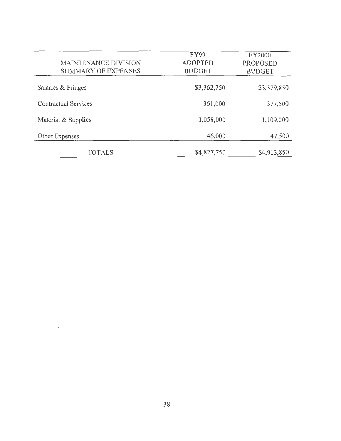| MAINTENANCE DIVISION<br>SUMMARY OF EXPENSES | FY99<br><b>ADOPTED</b><br><b>BUDGET</b> | FY2000<br>PROPOSED<br><b>BUDGET</b> |
|---------------------------------------------|-----------------------------------------|-------------------------------------|
| Salaries & Fringes                          | \$3,362,750                             | \$3,379,850                         |
| Contractual Services                        | 361,000                                 | 377,500                             |
| Material & Supplies                         | 1,058,000                               | 1,109,000                           |
| Other Expenses                              | 46,000                                  | 47,500                              |
| TOTALS                                      | \$4,827,750                             | \$4,913,850                         |

 $\hat{\mathcal{A}}$ 

 $\bar{z}$ 

÷.

 $\bar{z}$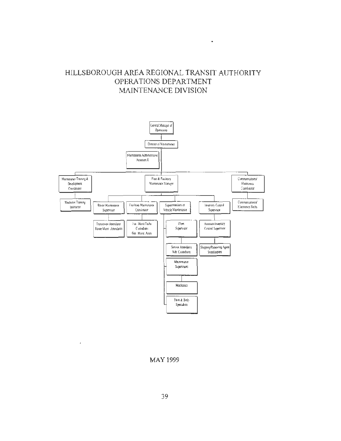## HILLSBOROUGH AREA REGIONAL TRANSIT AUTHORITY OPERATIONS DEPARTMENT MAINTENANCE DIVISION

 $\bullet$ 



MAY 1999